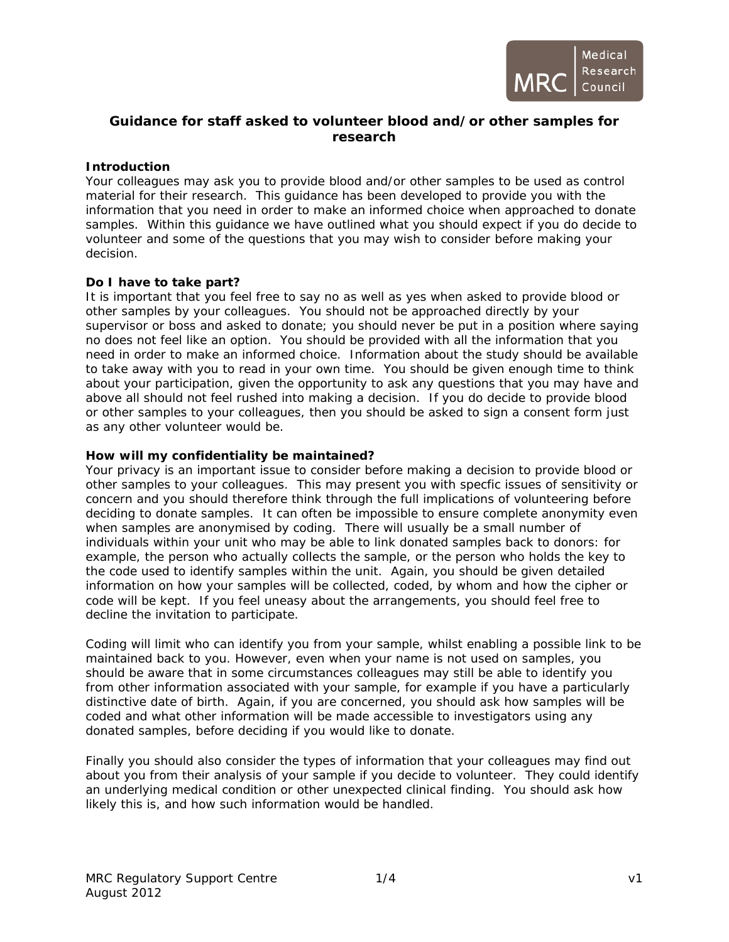

# **Guidance for staff asked to volunteer blood and/or other samples for research**

# **Introduction**

Your colleagues may ask you to provide blood and/or other samples to be used as control material for their research. This guidance has been developed to provide you with the information that you need in order to make an informed choice when approached to donate samples. Within this guidance we have outlined what you should expect if you do decide to volunteer and some of the questions that you may wish to consider before making your decision.

## **Do I have to take part?**

It is important that you feel free to say no as well as yes when asked to provide blood or other samples by your colleagues. You should not be approached directly by your supervisor or boss and asked to donate; you should never be put in a position where saying no does not feel like an option. You should be provided with all the information that you need in order to make an informed choice. Information about the study should be available to take away with you to read in your own time. You should be given enough time to think about your participation, given the opportunity to ask any questions that you may have and above all should not feel rushed into making a decision. If you do decide to provide blood or other samples to your colleagues, then you should be asked to sign a consent form just as any other volunteer would be.

## **How will my confidentiality be maintained?**

Your privacy is an important issue to consider before making a decision to provide blood or other samples to your colleagues. This may present you with specfic issues of sensitivity or concern and you should therefore think through the full implications of volunteering before deciding to donate samples. It can often be impossible to ensure complete anonymity even when samples are anonymised by coding. There will usually be a small number of individuals within your unit who may be able to link donated samples back to donors: for example, the person who actually collects the sample, or the person who holds the key to the code used to identify samples within the unit. Again, you should be given detailed information on how your samples will be collected, coded, by whom and how the cipher or code will be kept. If you feel uneasy about the arrangements, you should feel free to decline the invitation to participate.

Coding will limit who can identify you from your sample, whilst enabling a possible link to be maintained back to you. However, even when your name is not used on samples, you should be aware that in some circumstances colleagues may still be able to identify you from other information associated with your sample, for example if you have a particularly distinctive date of birth. Again, if you are concerned, you should ask how samples will be coded and what other information will be made accessible to investigators using any donated samples, before deciding if you would like to donate.

Finally you should also consider the types of information that your colleagues may find out about you from their analysis of your sample if you decide to volunteer. They could identify an underlying medical condition or other unexpected clinical finding. You should ask how likely this is, and how such information would be handled.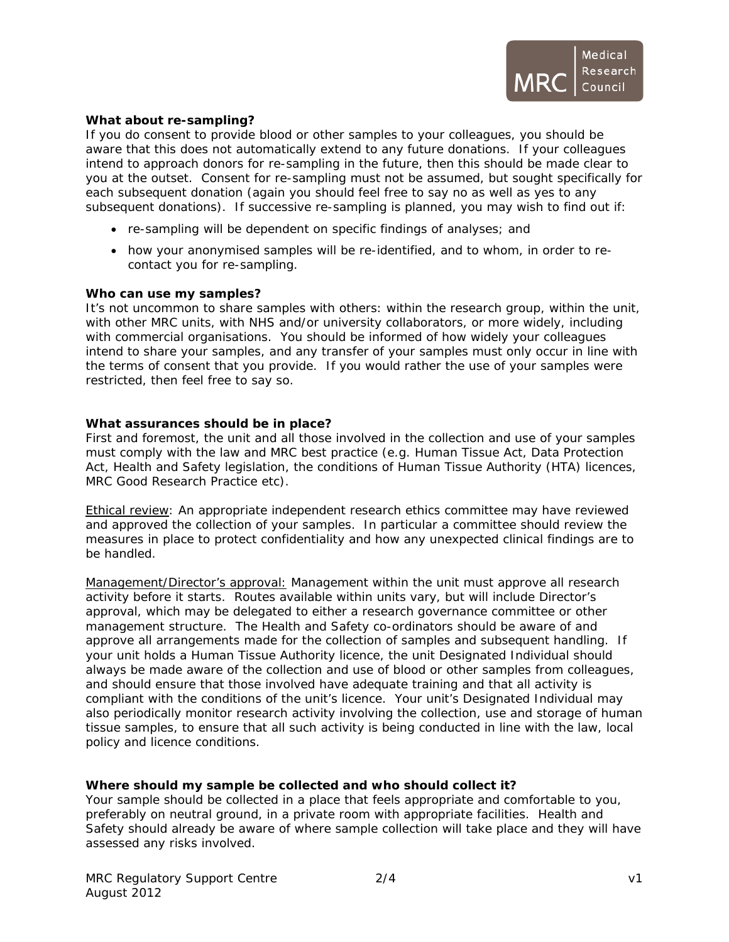

## **What about re-sampling?**

If you do consent to provide blood or other samples to your colleagues, you should be aware that this does not automatically extend to any future donations. If your colleagues intend to approach donors for re-sampling in the future, then this should be made clear to you at the outset. Consent for re-sampling must not be assumed, but sought specifically for each subsequent donation (again you should feel free to say no as well as yes to any subsequent donations). If successive re-sampling is planned, you may wish to find out if:

- re-sampling will be dependent on specific findings of analyses; and
- how your anonymised samples will be re-identified, and to whom, in order to recontact you for re-sampling.

#### **Who can use my samples?**

It's not uncommon to share samples with others: within the research group, within the unit, with other MRC units, with NHS and/or university collaborators, or more widely, including with commercial organisations. You should be informed of how widely your colleagues intend to share your samples, and any transfer of your samples must only occur in line with the terms of consent that you provide. If you would rather the use of your samples were restricted, then feel free to say so.

## **What assurances should be in place?**

First and foremost, the unit and all those involved in the collection and use of your samples must comply with the law and MRC best practice (e.g. Human Tissue Act, Data Protection Act, Health and Safety legislation, the conditions of Human Tissue Authority (HTA) licences, MRC Good Research Practice etc).

Ethical review: An appropriate independent research ethics committee may have reviewed and approved the collection of your samples. In particular a committee should review the measures in place to protect confidentiality and how any unexpected clinical findings are to be handled.

Management/Director's approval: Management within the unit must approve all research activity before it starts. Routes available within units vary, but will include Director's approval, which may be delegated to either a research governance committee or other management structure. The Health and Safety co-ordinators should be aware of and approve all arrangements made for the collection of samples and subsequent handling. If your unit holds a Human Tissue Authority licence, the unit Designated Individual should always be made aware of the collection and use of blood or other samples from colleagues, and should ensure that those involved have adequate training and that all activity is compliant with the conditions of the unit's licence. Your unit's Designated Individual may also periodically monitor research activity involving the collection, use and storage of human tissue samples, to ensure that all such activity is being conducted in line with the law, local policy and licence conditions.

# **Where should my sample be collected and who should collect it?**

Your sample should be collected in a place that feels appropriate and comfortable to you, preferably on neutral ground, in a private room with appropriate facilities. Health and Safety should already be aware of where sample collection will take place and they will have assessed any risks involved.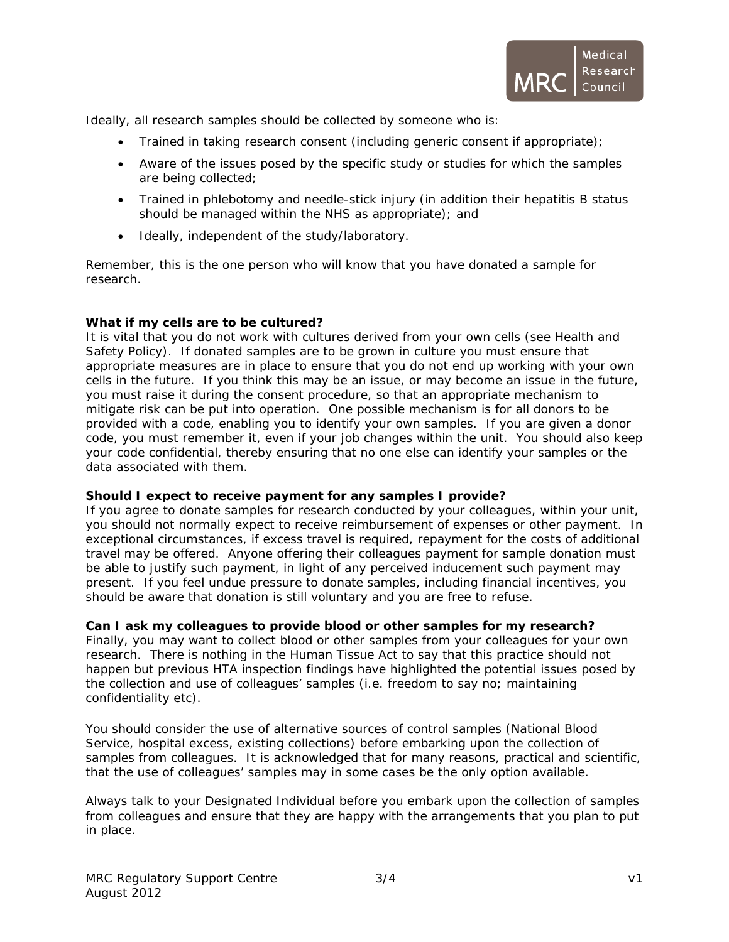

Ideally, all research samples should be collected by someone who is:

- Trained in taking research consent (including generic consent if appropriate);
- Aware of the issues posed by the specific study or studies for which the samples are being collected;
- Trained in phlebotomy and needle-stick injury (in addition their hepatitis B status should be managed within the NHS as appropriate); and
- Ideally, independent of the study/laboratory.

Remember, this is the one person who will know that you have donated a sample for research.

## **What if my cells are to be cultured?**

It is vital that you do not work with cultures derived from your own cells (see Health and Safety Policy). If donated samples are to be grown in culture you must ensure that appropriate measures are in place to ensure that you do not end up working with your own cells in the future. If you think this may be an issue, or may become an issue in the future, you must raise it during the consent procedure, so that an appropriate mechanism to mitigate risk can be put into operation. One possible mechanism is for all donors to be provided with a code, enabling you to identify your own samples. If you are given a donor code, you must remember it, even if your job changes within the unit. You should also keep your code confidential, thereby ensuring that no one else can identify your samples or the data associated with them.

#### **Should I expect to receive payment for any samples I provide?**

If you agree to donate samples for research conducted by your colleagues, within your unit, you should not normally expect to receive reimbursement of expenses or other payment. In exceptional circumstances, if excess travel is required, repayment for the costs of additional travel may be offered. Anyone offering their colleagues payment for sample donation must be able to justify such payment, in light of any perceived inducement such payment may present. If you feel undue pressure to donate samples, including financial incentives, you should be aware that donation is still voluntary and you are free to refuse.

#### **Can I ask my colleagues to provide blood or other samples for my research?**

Finally, you may want to collect blood or other samples from your colleagues for your own research. There is nothing in the Human Tissue Act to say that this practice should not happen but previous HTA inspection findings have highlighted the potential issues posed by the collection and use of colleagues' samples (i.e. freedom to say no; maintaining confidentiality etc).

You should consider the use of alternative sources of control samples (National Blood Service, hospital excess, existing collections) before embarking upon the collection of samples from colleagues. It is acknowledged that for many reasons, practical and scientific, that the use of colleagues' samples may in some cases be the only option available.

Always talk to your Designated Individual before you embark upon the collection of samples from colleagues and ensure that they are happy with the arrangements that you plan to put in place.